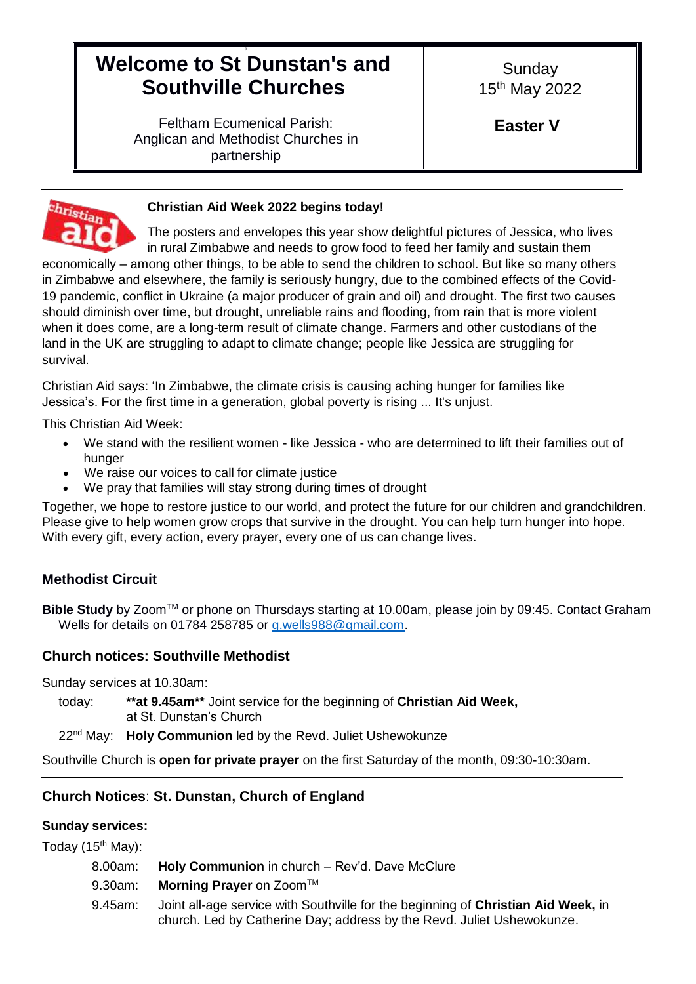# 9 **Welcome to St Dunstan's and Southville Churches**

**Sunday** 15th May 2022

**Easter V**

Feltham Ecumenical Parish: Anglican and Methodist Churches in partnership



# **Christian Aid Week 2022 begins today!**

The posters and envelopes this year show delightful pictures of Jessica, who lives in rural Zimbabwe and needs to grow food to feed her family and sustain them

economically – among other things, to be able to send the children to school. But like so many others in Zimbabwe and elsewhere, the family is seriously hungry, due to the combined effects of the Covid-19 pandemic, conflict in Ukraine (a major producer of grain and oil) and drought. The first two causes should diminish over time, but drought, unreliable rains and flooding, from rain that is more violent when it does come, are a long-term result of climate change. Farmers and other custodians of the land in the UK are struggling to adapt to climate change; people like Jessica are struggling for survival.

Christian Aid says: 'In Zimbabwe, the climate crisis is causing aching hunger for families like Jessica's. For the first time in a generation, global poverty is rising ... It's unjust.

This Christian Aid Week:

- We stand with the resilient women like Jessica who are determined to lift their families out of hunger
- We raise our voices to call for climate justice
- We pray that families will stay strong during times of drought

Together, we hope to restore justice to our world, and protect the future for our children and grandchildren. Please give to help women grow crops that survive in the drought. You can help turn hunger into hope. With every gift, every action, every prayer, every one of us can change lives.

# **Methodist Circuit**

**Bible Study** by ZoomTM or phone on Thursdays starting at 10.00am, please join by 09:45. Contact Graham Wells for details on 01784 258785 or [g.wells988@gmail.com.](mailto:g.wells988@gmail.com)

## **Church notices: Southville Methodist**

Sunday services at 10.30am:

today: **\*\*at 9.45am\*\*** Joint service for the beginning of **Christian Aid Week,**  at St. Dunstan's Church

22nd May: **Holy Communion** led by the Revd. Juliet Ushewokunze

Southville Church is **open for private prayer** on the first Saturday of the month, 09:30-10:30am.

## **Church Notices**: **St. Dunstan, Church of England**

## **Sunday services:**

Today  $(15<sup>th</sup>$  May):

8.00am: **Holy Communion** in church – Rev'd. Dave McClure

9.30am: **Morning Prayer** on Zoom™

9.45am: Joint all-age service with Southville for the beginning of **Christian Aid Week,** in church. Led by Catherine Day; address by the Revd. Juliet Ushewokunze.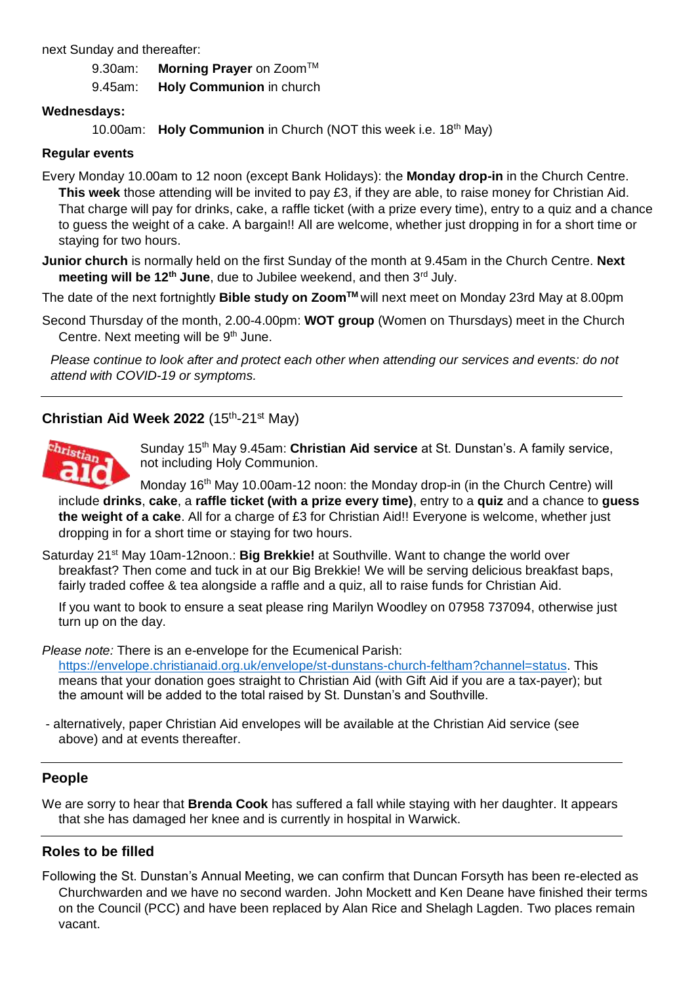next Sunday and thereafter:

9.30am: **Morning Prayer** on Zoom™

9.45am: **Holy Communion** in church

#### **Wednesdays:**

10.00am: **Holy Communion** in Church (NOT this week i.e. 18<sup>th</sup> May)

### **Regular events**

Every Monday 10.00am to 12 noon (except Bank Holidays): the **Monday drop-in** in the Church Centre. **This week** those attending will be invited to pay £3, if they are able, to raise money for Christian Aid. That charge will pay for drinks, cake, a raffle ticket (with a prize every time), entry to a quiz and a chance to guess the weight of a cake. A bargain!! All are welcome, whether just dropping in for a short time or staying for two hours.

**Junior church** is normally held on the first Sunday of the month at 9.45am in the Church Centre. **Next meeting will be 12<sup>th</sup> June**, due to Jubilee weekend, and then 3<sup>rd</sup> July.

The date of the next fortnightly **Bible study on ZoomTM** will next meet on Monday 23rd May at 8.00pm

Second Thursday of the month, 2.00-4.00pm: **WOT group** (Women on Thursdays) meet in the Church Centre. Next meeting will be 9<sup>th</sup> June.

*Please continue to look after and protect each other when attending our services and events: do not attend with COVID-19 or symptoms.*

## Christian Aid Week 2022 (15<sup>th</sup>-21<sup>st</sup> May)



Sunday 15th May 9.45am: **Christian Aid service** at St. Dunstan's. A family service, not including Holy Communion.

Monday 16<sup>th</sup> May 10.00am-12 noon: the Monday drop-in (in the Church Centre) will include **drinks**, **cake**, a **raffle ticket (with a prize every time)**, entry to a **quiz** and a chance to **guess the weight of a cake**. All for a charge of £3 for Christian Aid!! Everyone is welcome, whether just dropping in for a short time or staying for two hours.

Saturday 21<sup>st</sup> May 10am-12noon.: **Big Brekkie!** at Southville. Want to change the world over breakfast? Then come and tuck in at our Big Brekkie! We will be serving delicious breakfast baps, fairly traded coffee & tea alongside a raffle and a quiz, all to raise funds for Christian Aid.

If you want to book to ensure a seat please ring Marilyn Woodley on 07958 737094, otherwise just turn up on the day.

*Please note:* There is an e-envelope for the Ecumenical Parish: [https://envelope.christianaid.org.uk/envelope/st-dunstans-church-feltham?channel=status.](https://envelope.christianaid.org.uk/envelope/st-dunstans-church-feltham?channel=status) This means that your donation goes straight to Christian Aid (with Gift Aid if you are a tax-payer); but the amount will be added to the total raised by St. Dunstan's and Southville.

- alternatively, paper Christian Aid envelopes will be available at the Christian Aid service (see above) and at events thereafter.

## **People**

We are sorry to hear that **Brenda Cook** has suffered a fall while staying with her daughter. It appears that she has damaged her knee and is currently in hospital in Warwick.

## **Roles to be filled**

Following the St. Dunstan's Annual Meeting, we can confirm that Duncan Forsyth has been re-elected as Churchwarden and we have no second warden. John Mockett and Ken Deane have finished their terms on the Council (PCC) and have been replaced by Alan Rice and Shelagh Lagden. Two places remain vacant.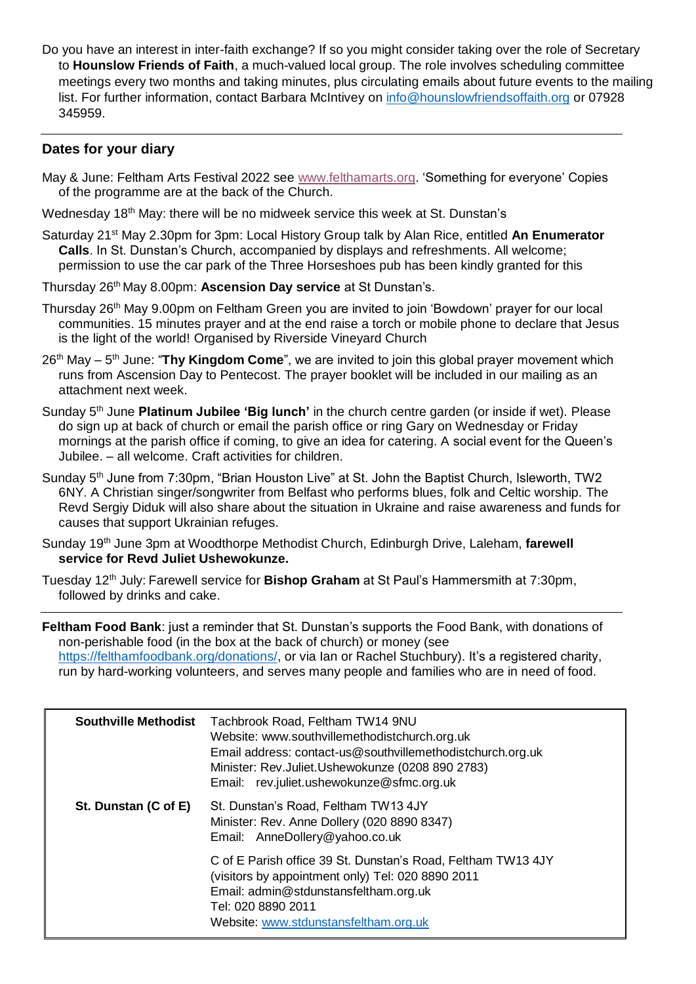Do you have an interest in inter-faith exchange? If so you might consider taking over the role of Secretary to **Hounslow Friends of Faith**, a much-valued local group. The role involves scheduling committee meetings every two months and taking minutes, plus circulating emails about future events to the mailing list. For further information, contact Barbara McIntivey on [info@hounslowfriendsoffaith.org](mailto:info@hounslowfriendsoffaith.org) or 07928 345959.

## **Dates for your diary**

- May & June: Feltham Arts Festival 2022 see [www.felthamarts.org.](http://www.felthamarts.org/) 'Something for everyone' Copies of the programme are at the back of the Church.
- Wednesday 18<sup>th</sup> May: there will be no midweek service this week at St. Dunstan's
- Saturday 21st May 2.30pm for 3pm: Local History Group talk by Alan Rice, entitled **An Enumerator Calls**. In St. Dunstan's Church, accompanied by displays and refreshments. All welcome; permission to use the car park of the Three Horseshoes pub has been kindly granted for this
- Thursday 26th May 8.00pm: **Ascension Day service** at St Dunstan's.
- Thursday 26<sup>th</sup> May 9.00pm on Feltham Green you are invited to join 'Bowdown' prayer for our local communities. 15 minutes prayer and at the end raise a torch or mobile phone to declare that Jesus is the light of the world! Organised by Riverside Vineyard Church
- 26<sup>th</sup> May 5<sup>th</sup> June: "**Thy Kingdom Come**", we are invited to join this global prayer movement which runs from Ascension Day to Pentecost. The prayer booklet will be included in our mailing as an attachment next week.
- Sunday 5th June **Platinum Jubilee 'Big lunch'** in the church centre garden (or inside if wet). Please do sign up at back of church or email the parish office or ring Gary on Wednesday or Friday mornings at the parish office if coming, to give an idea for catering. A social event for the Queen's Jubilee. – all welcome. Craft activities for children.
- Sunday 5<sup>th</sup> June from 7:30pm, "Brian Houston Live" at St. John the Baptist Church, Isleworth, TW2 6NY. A Christian singer/songwriter from Belfast who performs blues, folk and Celtic worship. The Revd Sergiy Diduk will also share about the situation in Ukraine and raise awareness and funds for causes that support Ukrainian refuges.
- Sundav 19<sup>th</sup> June 3pm at Woodthorpe Methodist Church, Edinburgh Drive, Laleham, farewell **service for Revd Juliet Ushewokunze.**
- Tuesday 12th July: Farewell service for **Bishop Graham** at St Paul's Hammersmith at 7:30pm, followed by drinks and cake.

**Feltham Food Bank**: just a reminder that St. Dunstan's supports the Food Bank, with donations of non-perishable food (in the box at the back of church) or money (see [https://felthamfoodbank.org/donations/,](https://felthamfoodbank.org/donations/) or via Ian or Rachel Stuchbury). It's a registered charity, run by hard-working volunteers, and serves many people and families who are in need of food.

| <b>Southville Methodist</b> | Tachbrook Road, Feltham TW14 9NU<br>Website: www.southvillemethodistchurch.org.uk<br>Email address: contact-us@southvillemethodistchurch.org.uk<br>Minister: Rev.Juliet.Ushewokunze (0208 890 2783)<br>Email: rev.juliet.ushewokunze@sfmc.org.uk |
|-----------------------------|--------------------------------------------------------------------------------------------------------------------------------------------------------------------------------------------------------------------------------------------------|
| St. Dunstan (C of E)        | St. Dunstan's Road, Feltham TW13 4JY<br>Minister: Rev. Anne Dollery (020 8890 8347)<br>Email: AnneDollery@yahoo.co.uk                                                                                                                            |
|                             | C of E Parish office 39 St. Dunstan's Road, Feltham TW13 4JY<br>(visitors by appointment only) Tel: 020 8890 2011<br>Email: admin@stdunstansfeltham.org.uk<br>Tel: 020 8890 2011<br>Website: www.stdunstansfeltham.org.uk                        |